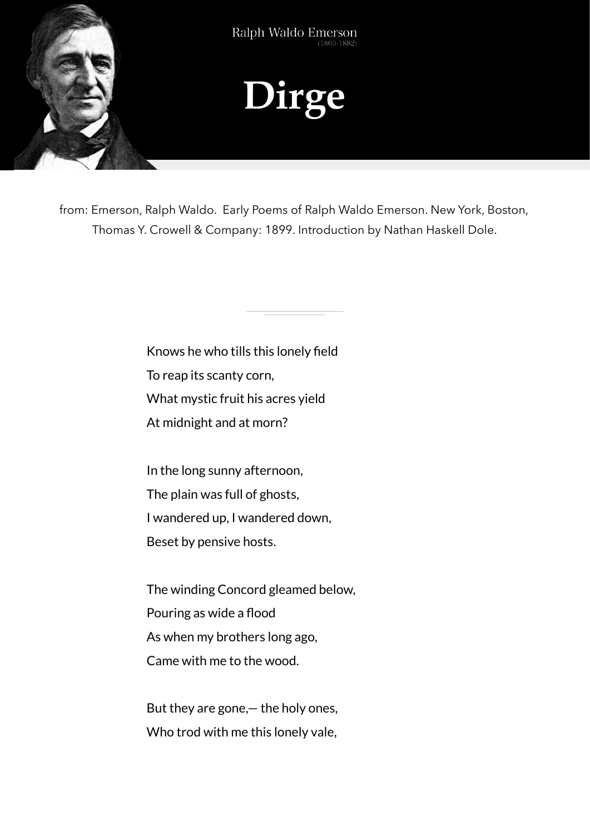

from: Emerson, Ralph Waldo. Early Poems of Ralph Waldo Emerson. New York, Boston, Thomas Y. Crowell & Company: 1899. Introduction by Nathan Haskell Dole.

> Knows he who tills this lonely field To reap its scanty corn, What mystic fruit his acres yield At midnight and at morn?

In the long sunny afternoon, The plain was full of ghosts, I wandered up, I wandered down, Beset by pensive hosts.

The winding Concord gleamed below, Pouring as wide a flood As when my brothers long ago, Came with me to the wood.

But they are gone,— the holy ones, Who trod with me this lonely vale,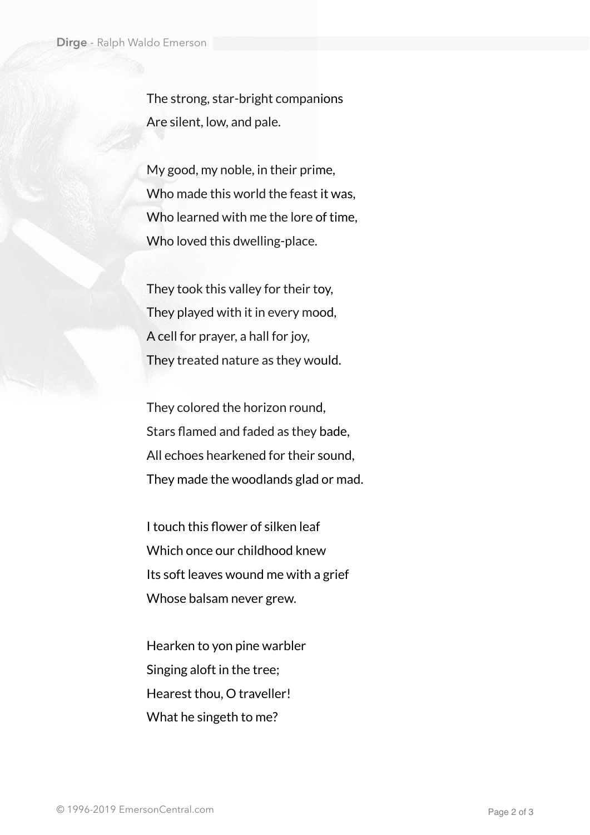The strong, star-bright companions Are silent, low, and pale.

My good, my noble, in their prime, Who made this world the feast it was, Who learned with me the lore of time, Who loved this dwelling-place.

They took this valley for their toy, They played with it in every mood, A cell for prayer, a hall for joy, They treated nature as they would.

They colored the horizon round, Stars flamed and faded as they bade, All echoes hearkened for their sound, They made the woodlands glad or mad.

I touch this flower of silken leaf Which once our childhood knew Its soft leaves wound me with a grief Whose balsam never grew.

Hearken to yon pine warbler Singing aloft in the tree; Hearest thou, O traveller! What he singeth to me?